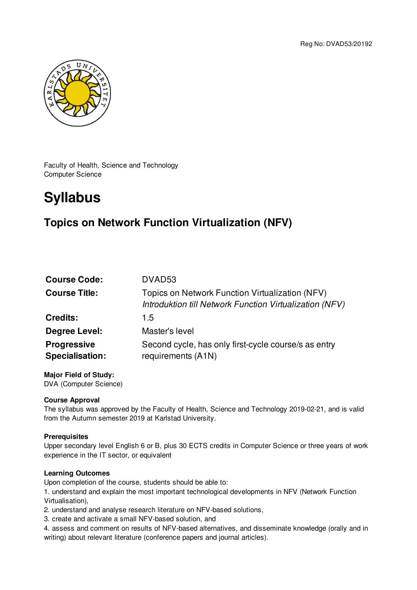

Faculty of Health, Science and Technology Computer Science

# **Syllabus**

# **Topics on Network Function Virtualization (NFV)**

| DVAD <sub>53</sub>                                                                                         |
|------------------------------------------------------------------------------------------------------------|
| Topics on Network Function Virtualization (NFV)<br>Introduktion till Network Function Virtualization (NFV) |
| 1.5                                                                                                        |
| Master's level                                                                                             |
| Second cycle, has only first-cycle course/s as entry<br>requirements (A1N)                                 |
|                                                                                                            |

#### **Major Field of Study:** DVA (Computer Science)

## **Course Approval**

The syllabus was approved by the Faculty of Health, Science and Technology 2019-02-21, and is valid from the Autumn semester 2019 at Karlstad University.

#### **Prerequisites**

Upper secondary level English 6 or B, plus 30 ECTS credits in Computer Science or three years of work experience in the IT sector, or equivalent

#### **Learning Outcomes**

Upon completion of the course, students should be able to:

1. understand and explain the most important technological developments in NFV (Network Function Virtualisation),

2. understand and analyse research literature on NFV-based solutions,

- 3. create and activate a small NFV-based solution, and
- 4. assess and comment on results of NFV-based alternatives, and disseminate knowledge (orally and in writing) about relevant literature (conference papers and journal articles).